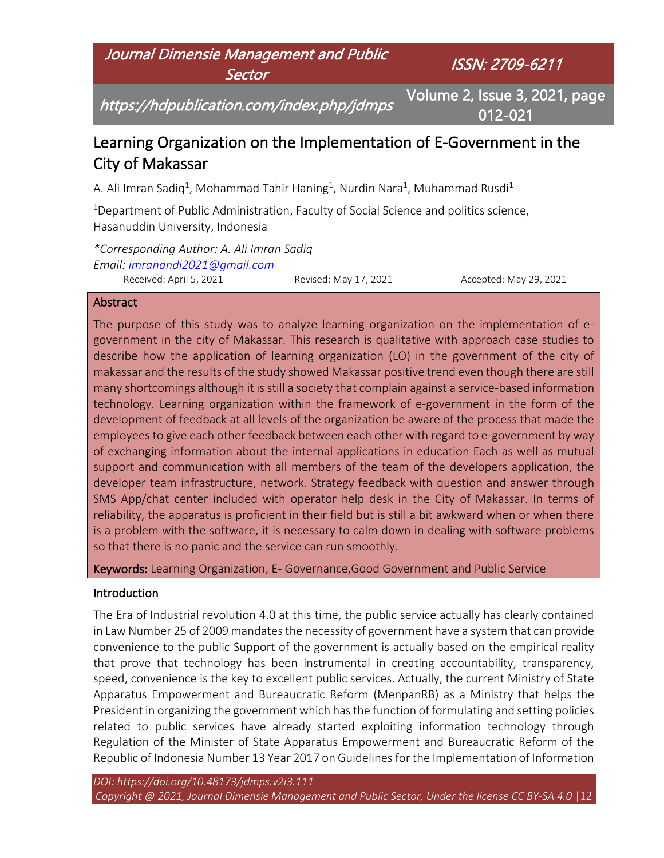# Journal Dimensie Management and Public **Sector**

ISSN: 2709-6211

https://hdpublication.com/index.php/jdmps

Volume 2, Issue 3, 2021, page 012-021

# Learning Organization on the Implementation of E-Government in the City of Makassar

A. Ali Imran Sadiq<sup>1</sup>, Mohammad Tahir Haning<sup>1</sup>, Nurdin Nara<sup>1</sup>, Muhammad Rusdi<sup>1</sup>

<sup>1</sup>Department of Public Administration, Faculty of Social Science and politics science, Hasanuddin University, Indonesia

*\*Corresponding Author: A. Ali Imran Sadiq Email: [imranandi2021@gmail.com](mailto:imranandi2021@gmail.com)* Received: April 5, 2021 Revised: May 17, 2021 Accepted: May 29, 2021

#### Abstract

The purpose of this study was to analyze learning organization on the implementation of egovernment in the city of Makassar. This research is qualitative with approach case studies to describe how the application of learning organization (LO) in the government of the city of makassar and the results of the study showed Makassar positive trend even though there are still many shortcomings although it is still a society that complain against a service-based information technology. Learning organization within the framework of e-government in the form of the development of feedback at all levels of the organization be aware of the process that made the employees to give each other feedback between each other with regard to e-government by way of exchanging information about the internal applications in education Each as well as mutual support and communication with all members of the team of the developers application, the developer team infrastructure, network. Strategy feedback with question and answer through SMS App/chat center included with operator help desk in the City of Makassar. In terms of reliability, the apparatus is proficient in their field but is still a bit awkward when or when there is a problem with the software, it is necessary to calm down in dealing with software problems so that there is no panic and the service can run smoothly.

Keywords: Learning Organization, E- Governance,Good Government and Public Service

#### Introduction

The Era of Industrial revolution 4.0 at this time, the public service actually has clearly contained in Law Number 25 of 2009 mandates the necessity of government have a system that can provide convenience to the public Support of the government is actually based on the empirical reality that prove that technology has been instrumental in creating accountability, transparency, speed, convenience is the key to excellent public services. Actually, the current Ministry of State Apparatus Empowerment and Bureaucratic Reform (MenpanRB) as a Ministry that helps the President in organizing the government which has the function of formulating and setting policies related to public services have already started exploiting information technology through Regulation of the Minister of State Apparatus Empowerment and Bureaucratic Reform of the Republic of Indonesia Number 13 Year 2017 on Guidelines for the Implementation of Information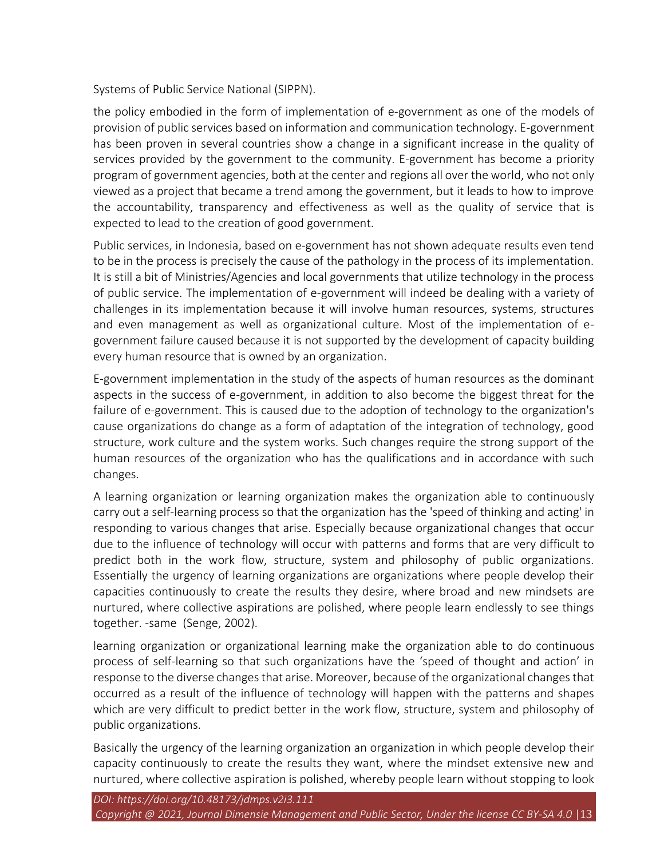Systems of Public Service National (SIPPN).

the policy embodied in the form of implementation of e-government as one of the models of provision of public services based on information and communication technology. E-government has been proven in several countries show a change in a significant increase in the quality of services provided by the government to the community. E-government has become a priority program of government agencies, both at the center and regions all over the world, who not only viewed as a project that became a trend among the government, but it leads to how to improve the accountability, transparency and effectiveness as well as the quality of service that is expected to lead to the creation of good government.

Public services, in Indonesia, based on e-government has not shown adequate results even tend to be in the process is precisely the cause of the pathology in the process of its implementation. It is still a bit of Ministries/Agencies and local governments that utilize technology in the process of public service. The implementation of e-government will indeed be dealing with a variety of challenges in its implementation because it will involve human resources, systems, structures and even management as well as organizational culture. Most of the implementation of egovernment failure caused because it is not supported by the development of capacity building every human resource that is owned by an organization.

E-government implementation in the study of the aspects of human resources as the dominant aspects in the success of e-government, in addition to also become the biggest threat for the failure of e-government. This is caused due to the adoption of technology to the organization's cause organizations do change as a form of adaptation of the integration of technology, good structure, work culture and the system works. Such changes require the strong support of the human resources of the organization who has the qualifications and in accordance with such changes.

A learning organization or learning organization makes the organization able to continuously carry out a self-learning process so that the organization has the 'speed of thinking and acting' in responding to various changes that arise. Especially because organizational changes that occur due to the influence of technology will occur with patterns and forms that are very difficult to predict both in the work flow, structure, system and philosophy of public organizations. Essentially the urgency of learning organizations are organizations where people develop their capacities continuously to create the results they desire, where broad and new mindsets are nurtured, where collective aspirations are polished, where people learn endlessly to see things together. -same (Senge, 2002).

learning organization or organizational learning make the organization able to do continuous process of self-learning so that such organizations have the 'speed of thought and action' in response to the diverse changes that arise. Moreover, because of the organizational changes that occurred as a result of the influence of technology will happen with the patterns and shapes which are very difficult to predict better in the work flow, structure, system and philosophy of public organizations.

Basically the urgency of the learning organization an organization in which people develop their capacity continuously to create the results they want, where the mindset extensive new and nurtured, where collective aspiration is polished, whereby people learn without stopping to look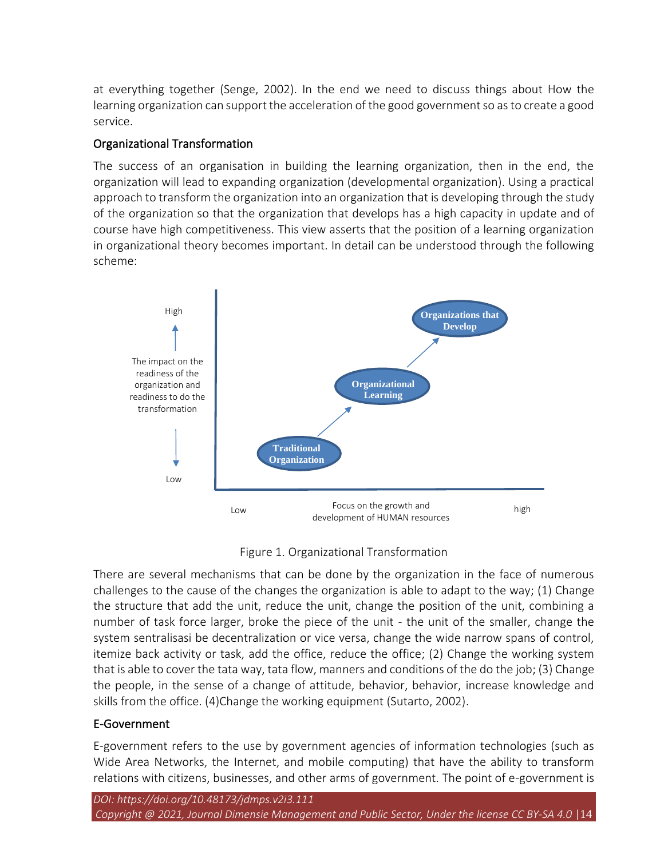at everything together (Senge, 2002). In the end we need to discuss things about How the learning organization can support the acceleration of the good government so as to create a good service.

#### Organizational Transformation

The success of an organisation in building the learning organization, then in the end, the organization will lead to expanding organization (developmental organization). Using a practical approach to transform the organization into an organization that is developing through the study of the organization so that the organization that develops has a high capacity in update and of course have high competitiveness. This view asserts that the position of a learning organization in organizational theory becomes important. In detail can be understood through the following scheme:



#### Figure 1. Organizational Transformation

There are several mechanisms that can be done by the organization in the face of numerous challenges to the cause of the changes the organization is able to adapt to the way; (1) Change the structure that add the unit, reduce the unit, change the position of the unit, combining a number of task force larger, broke the piece of the unit - the unit of the smaller, change the system sentralisasi be decentralization or vice versa, change the wide narrow spans of control, itemize back activity or task, add the office, reduce the office; (2) Change the working system that is able to cover the tata way, tata flow, manners and conditions of the do the job; (3) Change the people, in the sense of a change of attitude, behavior, behavior, increase knowledge and skills from the office. (4)Change the working equipment (Sutarto, 2002).

#### E-Government

E-government refers to the use by government agencies of information technologies (such as Wide Area Networks, the Internet, and mobile computing) that have the ability to transform relations with citizens, businesses, and other arms of government. The point of e-government is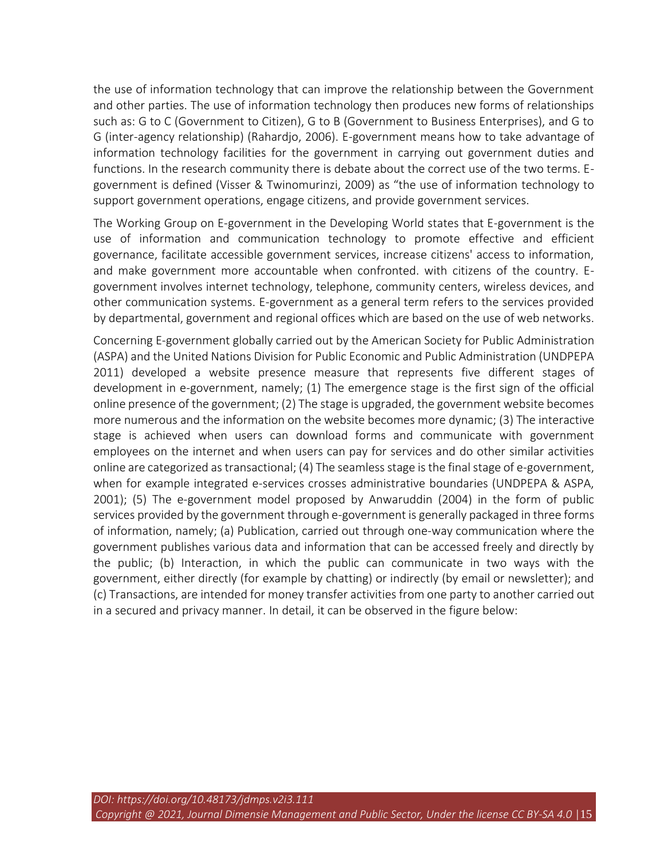the use of information technology that can improve the relationship between the Government and other parties. The use of information technology then produces new forms of relationships such as: G to C (Government to Citizen), G to B (Government to Business Enterprises), and G to G (inter-agency relationship) (Rahardjo, 2006). E-government means how to take advantage of information technology facilities for the government in carrying out government duties and functions. In the research community there is debate about the correct use of the two terms. Egovernment is defined (Visser & Twinomurinzi, 2009) as "the use of information technology to support government operations, engage citizens, and provide government services.

The Working Group on E-government in the Developing World states that E-government is the use of information and communication technology to promote effective and efficient governance, facilitate accessible government services, increase citizens' access to information, and make government more accountable when confronted. with citizens of the country. Egovernment involves internet technology, telephone, community centers, wireless devices, and other communication systems. E-government as a general term refers to the services provided by departmental, government and regional offices which are based on the use of web networks.

Concerning E-government globally carried out by the American Society for Public Administration (ASPA) and the United Nations Division for Public Economic and Public Administration (UNDPEPA 2011) developed a website presence measure that represents five different stages of development in e-government, namely; (1) The emergence stage is the first sign of the official online presence of the government; (2) The stage is upgraded, the government website becomes more numerous and the information on the website becomes more dynamic; (3) The interactive stage is achieved when users can download forms and communicate with government employees on the internet and when users can pay for services and do other similar activities online are categorized as transactional; (4) The seamless stage is the final stage of e-government, when for example integrated e-services crosses administrative boundaries (UNDPEPA & ASPA, 2001); (5) The e-government model proposed by Anwaruddin (2004) in the form of public services provided by the government through e-government is generally packaged in three forms of information, namely; (a) Publication, carried out through one-way communication where the government publishes various data and information that can be accessed freely and directly by the public; (b) Interaction, in which the public can communicate in two ways with the government, either directly (for example by chatting) or indirectly (by email or newsletter); and (c) Transactions, are intended for money transfer activities from one party to another carried out in a secured and privacy manner. In detail, it can be observed in the figure below: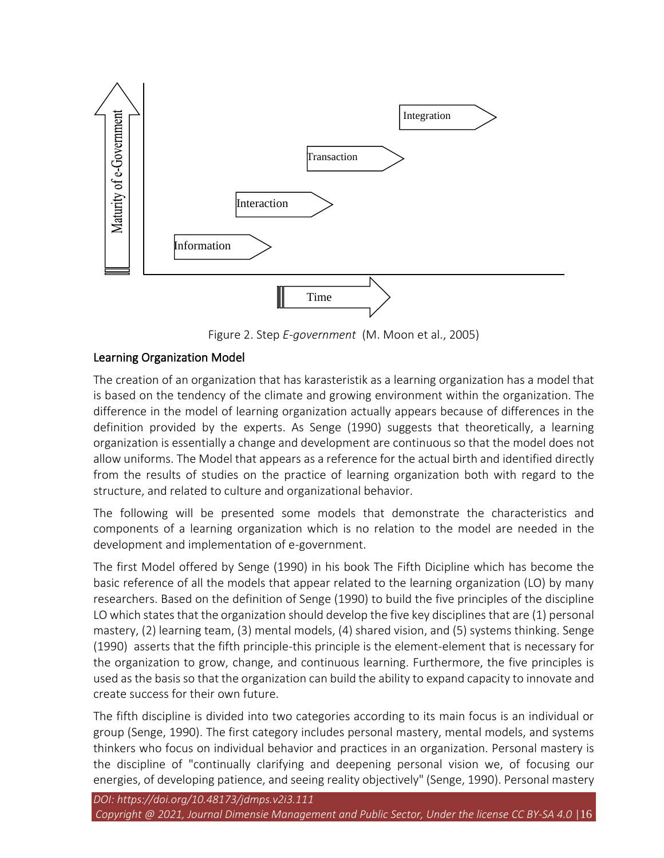

Figure 2. Step *E-government* (M. Moon et al., 2005)

# Learning Organization Model

The creation of an organization that has karasteristik as a learning organization has a model that is based on the tendency of the climate and growing environment within the organization. The difference in the model of learning organization actually appears because of differences in the definition provided by the experts. As Senge (1990) suggests that theoretically, a learning organization is essentially a change and development are continuous so that the model does not allow uniforms. The Model that appears as a reference for the actual birth and identified directly from the results of studies on the practice of learning organization both with regard to the structure, and related to culture and organizational behavior.

The following will be presented some models that demonstrate the characteristics and components of a learning organization which is no relation to the model are needed in the development and implementation of e-government.

The first Model offered by Senge (1990) in his book The Fifth Dicipline which has become the basic reference of all the models that appear related to the learning organization (LO) by many researchers. Based on the definition of Senge (1990) to build the five principles of the discipline LO which states that the organization should develop the five key disciplines that are (1) personal mastery, (2) learning team, (3) mental models, (4) shared vision, and (5) systems thinking. Senge (1990) asserts that the fifth principle-this principle is the element-element that is necessary for the organization to grow, change, and continuous learning. Furthermore, the five principles is used as the basis so that the organization can build the ability to expand capacity to innovate and create success for their own future.

The fifth discipline is divided into two categories according to its main focus is an individual or group (Senge, 1990). The first category includes personal mastery, mental models, and systems thinkers who focus on individual behavior and practices in an organization. Personal mastery is the discipline of "continually clarifying and deepening personal vision we, of focusing our energies, of developing patience, and seeing reality objectively" (Senge, 1990). Personal mastery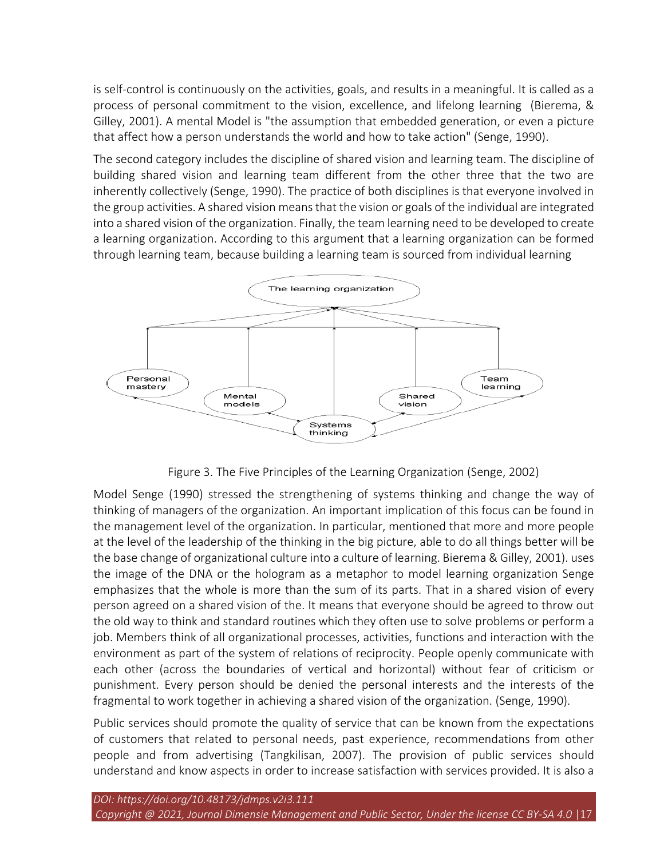is self-control is continuously on the activities, goals, and results in a meaningful. It is called as a process of personal commitment to the vision, excellence, and lifelong learning (Bierema, & Gilley, 2001). A mental Model is "the assumption that embedded generation, or even a picture that affect how a person understands the world and how to take action" (Senge, 1990).

The second category includes the discipline of shared vision and learning team. The discipline of building shared vision and learning team different from the other three that the two are inherently collectively (Senge, 1990). The practice of both disciplines is that everyone involved in the group activities. A shared vision means that the vision or goals of the individual are integrated into a shared vision of the organization. Finally, the team learning need to be developed to create a learning organization. According to this argument that a learning organization can be formed through learning team, because building a learning team is sourced from individual learning



Figure 3. The Five Principles of the Learning Organization (Senge, 2002)

Model Senge (1990) stressed the strengthening of systems thinking and change the way of thinking of managers of the organization. An important implication of this focus can be found in the management level of the organization. In particular, mentioned that more and more people at the level of the leadership of the thinking in the big picture, able to do all things better will be the base change of organizational culture into a culture of learning. Bierema & Gilley, 2001). uses the image of the DNA or the hologram as a metaphor to model learning organization Senge emphasizes that the whole is more than the sum of its parts. That in a shared vision of every person agreed on a shared vision of the. It means that everyone should be agreed to throw out the old way to think and standard routines which they often use to solve problems or perform a job. Members think of all organizational processes, activities, functions and interaction with the environment as part of the system of relations of reciprocity. People openly communicate with each other (across the boundaries of vertical and horizontal) without fear of criticism or punishment. Every person should be denied the personal interests and the interests of the fragmental to work together in achieving a shared vision of the organization. (Senge, 1990).

Public services should promote the quality of service that can be known from the expectations of customers that related to personal needs, past experience, recommendations from other people and from advertising (Tangkilisan, 2007). The provision of public services should understand and know aspects in order to increase satisfaction with services provided. It is also a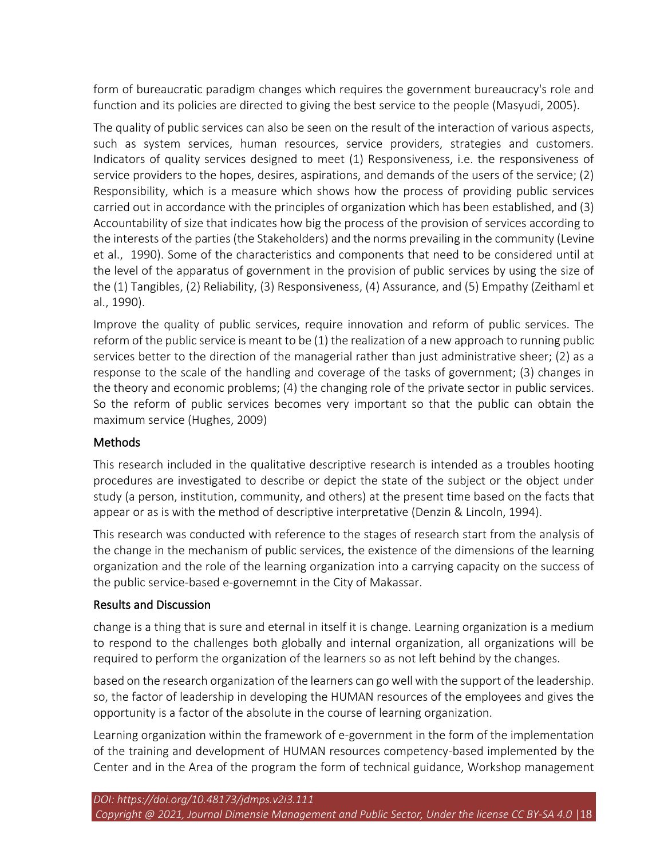form of bureaucratic paradigm changes which requires the government bureaucracy's role and function and its policies are directed to giving the best service to the people (Masyudi, 2005).

The quality of public services can also be seen on the result of the interaction of various aspects, such as system services, human resources, service providers, strategies and customers. Indicators of quality services designed to meet (1) Responsiveness, i.e. the responsiveness of service providers to the hopes, desires, aspirations, and demands of the users of the service; (2) Responsibility, which is a measure which shows how the process of providing public services carried out in accordance with the principles of organization which has been established, and (3) Accountability of size that indicates how big the process of the provision of services according to the interests of the parties (the Stakeholders) and the norms prevailing in the community (Levine et al., 1990). Some of the characteristics and components that need to be considered until at the level of the apparatus of government in the provision of public services by using the size of the (1) Tangibles, (2) Reliability, (3) Responsiveness, (4) Assurance, and (5) Empathy (Zeithaml et al., 1990).

Improve the quality of public services, require innovation and reform of public services. The reform of the public service is meant to be (1) the realization of a new approach to running public services better to the direction of the managerial rather than just administrative sheer; (2) as a response to the scale of the handling and coverage of the tasks of government; (3) changes in the theory and economic problems; (4) the changing role of the private sector in public services. So the reform of public services becomes very important so that the public can obtain the maximum service (Hughes, 2009)

#### Methods

This research included in the qualitative descriptive research is intended as a troubles hooting procedures are investigated to describe or depict the state of the subject or the object under study (a person, institution, community, and others) at the present time based on the facts that appear or as is with the method of descriptive interpretative (Denzin & Lincoln, 1994).

This research was conducted with reference to the stages of research start from the analysis of the change in the mechanism of public services, the existence of the dimensions of the learning organization and the role of the learning organization into a carrying capacity on the success of the public service-based e-governemnt in the City of Makassar.

#### Results and Discussion

change is a thing that is sure and eternal in itself it is change. Learning organization is a medium to respond to the challenges both globally and internal organization, all organizations will be required to perform the organization of the learners so as not left behind by the changes.

based on the research organization of the learners can go well with the support of the leadership. so, the factor of leadership in developing the HUMAN resources of the employees and gives the opportunity is a factor of the absolute in the course of learning organization.

Learning organization within the framework of e-government in the form of the implementation of the training and development of HUMAN resources competency-based implemented by the Center and in the Area of the program the form of technical guidance, Workshop management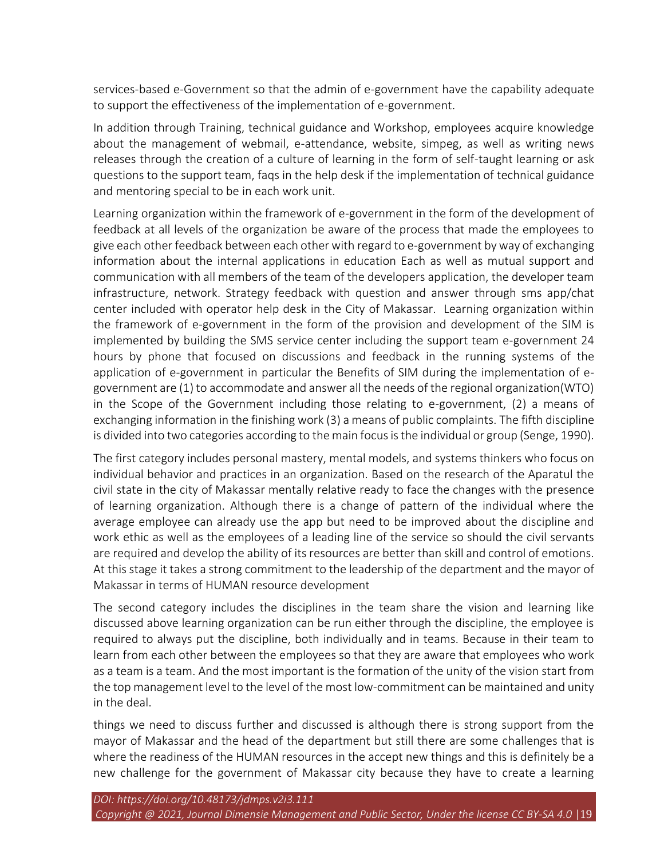services-based e-Government so that the admin of e-government have the capability adequate to support the effectiveness of the implementation of e-government.

In addition through Training, technical guidance and Workshop, employees acquire knowledge about the management of webmail, e-attendance, website, simpeg, as well as writing news releases through the creation of a culture of learning in the form of self-taught learning or ask questions to the support team, faqs in the help desk if the implementation of technical guidance and mentoring special to be in each work unit.

Learning organization within the framework of e-government in the form of the development of feedback at all levels of the organization be aware of the process that made the employees to give each other feedback between each other with regard to e-government by way of exchanging information about the internal applications in education Each as well as mutual support and communication with all members of the team of the developers application, the developer team infrastructure, network. Strategy feedback with question and answer through sms app/chat center included with operator help desk in the City of Makassar. Learning organization within the framework of e-government in the form of the provision and development of the SIM is implemented by building the SMS service center including the support team e-government 24 hours by phone that focused on discussions and feedback in the running systems of the application of e-government in particular the Benefits of SIM during the implementation of egovernment are (1) to accommodate and answer all the needs of the regional organization(WTO) in the Scope of the Government including those relating to e-government, (2) a means of exchanging information in the finishing work (3) a means of public complaints. The fifth discipline is divided into two categories according to the main focus is the individual or group (Senge, 1990).

The first category includes personal mastery, mental models, and systems thinkers who focus on individual behavior and practices in an organization. Based on the research of the Aparatul the civil state in the city of Makassar mentally relative ready to face the changes with the presence of learning organization. Although there is a change of pattern of the individual where the average employee can already use the app but need to be improved about the discipline and work ethic as well as the employees of a leading line of the service so should the civil servants are required and develop the ability of its resources are better than skill and control of emotions. At this stage it takes a strong commitment to the leadership of the department and the mayor of Makassar in terms of HUMAN resource development

The second category includes the disciplines in the team share the vision and learning like discussed above learning organization can be run either through the discipline, the employee is required to always put the discipline, both individually and in teams. Because in their team to learn from each other between the employees so that they are aware that employees who work as a team is a team. And the most important is the formation of the unity of the vision start from the top management level to the level of the most low-commitment can be maintained and unity in the deal.

things we need to discuss further and discussed is although there is strong support from the mayor of Makassar and the head of the department but still there are some challenges that is where the readiness of the HUMAN resources in the accept new things and this is definitely be a new challenge for the government of Makassar city because they have to create a learning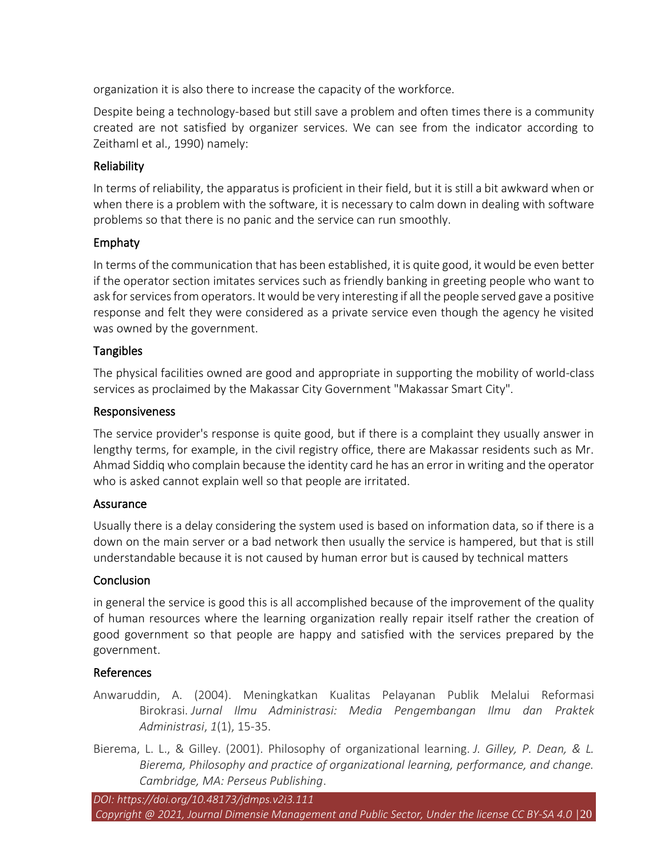organization it is also there to increase the capacity of the workforce.

Despite being a technology-based but still save a problem and often times there is a community created are not satisfied by organizer services. We can see from the indicator according to Zeithaml et al., 1990) namely:

#### **Reliability**

In terms of reliability, the apparatus is proficient in their field, but it is still a bit awkward when or when there is a problem with the software, it is necessary to calm down in dealing with software problems so that there is no panic and the service can run smoothly.

# Emphaty

In terms of the communication that has been established, it is quite good, it would be even better if the operator section imitates services such as friendly banking in greeting people who want to ask for services from operators. It would be very interesting if all the people served gave a positive response and felt they were considered as a private service even though the agency he visited was owned by the government.

#### **Tangibles**

The physical facilities owned are good and appropriate in supporting the mobility of world-class services as proclaimed by the Makassar City Government "Makassar Smart City".

#### Responsiveness

The service provider's response is quite good, but if there is a complaint they usually answer in lengthy terms, for example, in the civil registry office, there are Makassar residents such as Mr. Ahmad Siddiq who complain because the identity card he has an error in writing and the operator who is asked cannot explain well so that people are irritated.

#### **Assurance**

Usually there is a delay considering the system used is based on information data, so if there is a down on the main server or a bad network then usually the service is hampered, but that is still understandable because it is not caused by human error but is caused by technical matters

# Conclusion

in general the service is good this is all accomplished because of the improvement of the quality of human resources where the learning organization really repair itself rather the creation of good government so that people are happy and satisfied with the services prepared by the government.

#### References

- Anwaruddin, A. (2004). Meningkatkan Kualitas Pelayanan Publik Melalui Reformasi Birokrasi. *Jurnal Ilmu Administrasi: Media Pengembangan Ilmu dan Praktek Administrasi*, *1*(1), 15-35.
- Bierema, L. L., & Gilley. (2001). Philosophy of organizational learning. *J. Gilley, P. Dean, & L. Bierema, Philosophy and practice of organizational learning, performance, and change. Cambridge, MA: Perseus Publishing*.